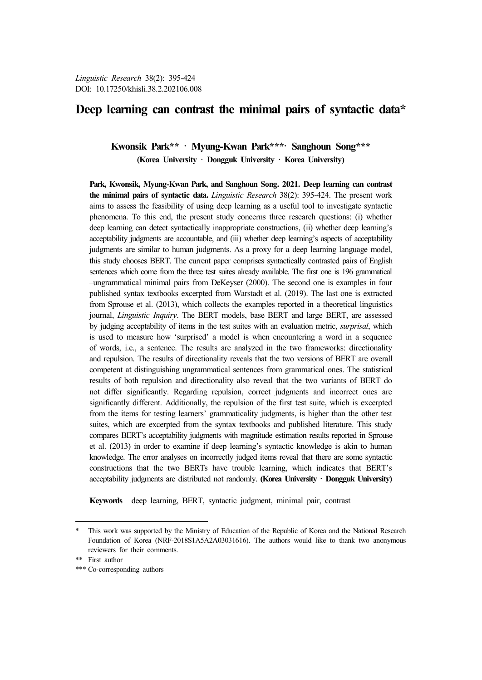# **Deep learning can contrast the minimal pairs of syntactic data\*<sup>9</sup>**

**Kwonsik Park\*\*** · **Myung-Kwan Park\*\*\***· **Sanghoun Song\*\*\* (Korea University · Dongguk University · Korea University)**

**Park, Kwonsik, Myung-Kwan Park, and Sanghoun Song. 2021. Deep learning can contrast the minimal pairs of syntactic data.** *Linguistic Research* 38(2): 395-424. The present work aims to assess the feasibility of using deep learning as a useful tool to investigate syntactic phenomena. To this end, the present study concerns three research questions: (i) whether deep learning can detect syntactically inappropriate constructions, (ii) whether deep learning's acceptability judgments are accountable, and (iii) whether deep learning's aspects of acceptability judgments are similar to human judgments. As a proxy for a deep learning language model, this study chooses BERT. The current paper comprises syntactically contrasted pairs of English sentences which come from the three test suites already available. The first one is 196 grammatical –ungrammatical minimal pairs from DeKeyser (2000). The second one is examples in four published syntax textbooks excerpted from Warstadt et al. (2019). The last one is extracted from Sprouse et al. (2013), which collects the examples reported in a theoretical linguistics journal, *Linguistic Inquiry*. The BERT models, base BERT and large BERT, are assessed by judging acceptability of items in the test suites with an evaluation metric, *surprisal*, which is used to measure how 'surprised' a model is when encountering a word in a sequence of words, i.e., a sentence. The results are analyzed in the two frameworks: directionality and repulsion. The results of directionality reveals that the two versions of BERT are overall competent at distinguishing ungrammatical sentences from grammatical ones. The statistical results of both repulsion and directionality also reveal that the two variants of BERT do not differ significantly. Regarding repulsion, correct judgments and incorrect ones are significantly different. Additionally, the repulsion of the first test suite, which is excerpted from the items for testing learners' grammaticality judgments, is higher than the other test suites, which are excerpted from the syntax textbooks and published literature. This study compares BERT's acceptability judgments with magnitude estimation results reported in Sprouse et al. (2013) in order to examine if deep learning's syntactic knowledge is akin to human knowledge. The error analyses on incorrectly judged items reveal that there are some syntactic constructions that the two BERTs have trouble learning, which indicates that BERT's acceptability judgments are distributed not randomly. **(Korea University · Dongguk University)**

**Keywords** deep learning, BERT, syntactic judgment, minimal pair, contrast

This work was supported by the Ministry of Education of the Republic of Korea and the National Research Foundation of Korea (NRF-2018S1A5A2A03031616). The authors would like to thank two anonymous reviewers for their comments. \*\* First author

<sup>\*\*\*</sup> Co-corresponding authors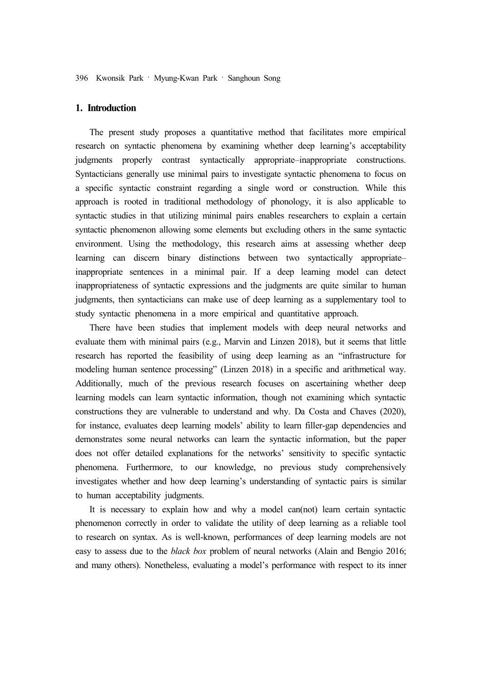# **1. Introduction**

The present study proposes a quantitative method that facilitates more empirical research on syntactic phenomena by examining whether deep learning's acceptability judgments properly contrast syntactically appropriate–inappropriate constructions. Syntacticians generally use minimal pairs to investigate syntactic phenomena to focus on a specific syntactic constraint regarding a single word or construction. While this approach is rooted in traditional methodology of phonology, it is also applicable to syntactic studies in that utilizing minimal pairs enables researchers to explain a certain syntactic phenomenon allowing some elements but excluding others in the same syntactic environment. Using the methodology, this research aims at assessing whether deep learning can discern binary distinctions between two syntactically appropriate– inappropriate sentences in a minimal pair. If a deep learning model can detect inappropriateness of syntactic expressions and the judgments are quite similar to human judgments, then syntacticians can make use of deep learning as a supplementary tool to study syntactic phenomena in a more empirical and quantitative approach.

There have been studies that implement models with deep neural networks and evaluate them with minimal pairs (e.g., Marvin and Linzen 2018), but it seems that little research has reported the feasibility of using deep learning as an "infrastructure for modeling human sentence processing" (Linzen 2018) in a specific and arithmetical way. Additionally, much of the previous research focuses on ascertaining whether deep learning models can learn syntactic information, though not examining which syntactic constructions they are vulnerable to understand and why. Da Costa and Chaves (2020), for instance, evaluates deep learning models' ability to learn filler-gap dependencies and demonstrates some neural networks can learn the syntactic information, but the paper does not offer detailed explanations for the networks' sensitivity to specific syntactic phenomena. Furthermore, to our knowledge, no previous study comprehensively investigates whether and how deep learning's understanding of syntactic pairs is similar to human acceptability judgments.

It is necessary to explain how and why a model can(not) learn certain syntactic phenomenon correctly in order to validate the utility of deep learning as a reliable tool to research on syntax. As is well-known, performances of deep learning models are not easy to assess due to the *black box* problem of neural networks (Alain and Bengio 2016; and many others). Nonetheless, evaluating a model's performance with respect to its inner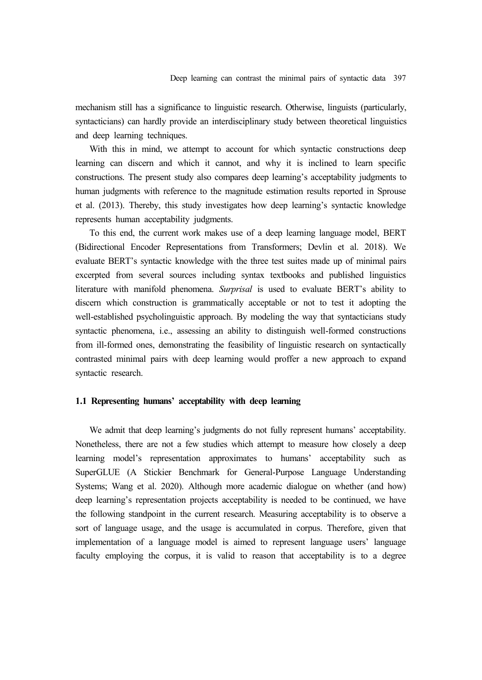mechanism still has a significance to linguistic research. Otherwise, linguists (particularly, syntacticians) can hardly provide an interdisciplinary study between theoretical linguistics and deep learning techniques.

With this in mind, we attempt to account for which syntactic constructions deep learning can discern and which it cannot, and why it is inclined to learn specific constructions. The present study also compares deep learning's acceptability judgments to human judgments with reference to the magnitude estimation results reported in Sprouse et al. (2013). Thereby, this study investigates how deep learning's syntactic knowledge represents human acceptability judgments.

To this end, the current work makes use of a deep learning language model, BERT (Bidirectional Encoder Representations from Transformers; Devlin et al. 2018). We evaluate BERT's syntactic knowledge with the three test suites made up of minimal pairs excerpted from several sources including syntax textbooks and published linguistics literature with manifold phenomena. *Surprisal* is used to evaluate BERT's ability to discern which construction is grammatically acceptable or not to test it adopting the well-established psycholinguistic approach. By modeling the way that syntacticians study syntactic phenomena, i.e., assessing an ability to distinguish well-formed constructions from ill-formed ones, demonstrating the feasibility of linguistic research on syntactically contrasted minimal pairs with deep learning would proffer a new approach to expand syntactic research.

# **1.1 Representing humans' acceptability with deep learning**

We admit that deep learning's judgments do not fully represent humans' acceptability. Nonetheless, there are not a few studies which attempt to measure how closely a deep learning model's representation approximates to humans' acceptability such as SuperGLUE (A Stickier Benchmark for General-Purpose Language Understanding Systems; Wang et al. 2020). Although more academic dialogue on whether (and how) deep learning's representation projects acceptability is needed to be continued, we have the following standpoint in the current research. Measuring acceptability is to observe a sort of language usage, and the usage is accumulated in corpus. Therefore, given that implementation of a language model is aimed to represent language users' language faculty employing the corpus, it is valid to reason that acceptability is to a degree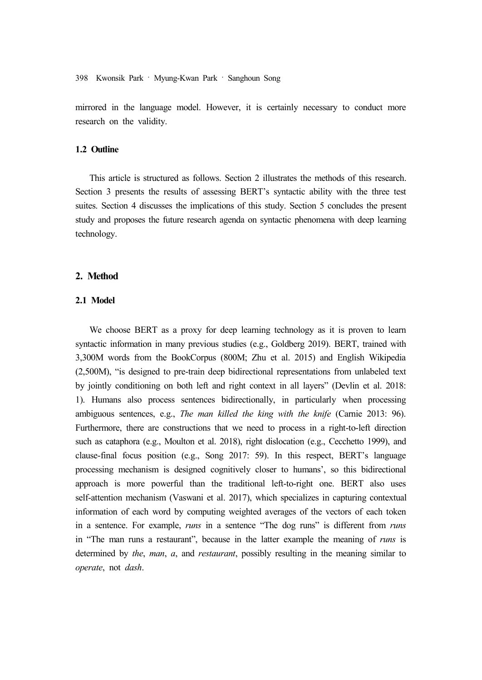mirrored in the language model. However, it is certainly necessary to conduct more research on the validity.

### **1.2 Outline**

This article is structured as follows. Section 2 illustrates the methods of this research. Section 3 presents the results of assessing BERT's syntactic ability with the three test suites. Section 4 discusses the implications of this study. Section 5 concludes the present study and proposes the future research agenda on syntactic phenomena with deep learning technology.

## **2. Method**

# **2.1 Model**

We choose BERT as a proxy for deep learning technology as it is proven to learn syntactic information in many previous studies (e.g., Goldberg 2019). BERT, trained with 3,300M words from the BookCorpus (800M; Zhu et al. 2015) and English Wikipedia (2,500M), "is designed to pre-train deep bidirectional representations from unlabeled text by jointly conditioning on both left and right context in all layers" (Devlin et al. 2018: 1). Humans also process sentences bidirectionally, in particularly when processing ambiguous sentences, e.g., *The man killed the king with the knife* (Carnie 2013: 96). Furthermore, there are constructions that we need to process in a right-to-left direction such as cataphora (e.g., Moulton et al. 2018), right dislocation (e.g., Cecchetto 1999), and clause-final focus position (e.g., Song 2017: 59). In this respect, BERT's language processing mechanism is designed cognitively closer to humans', so this bidirectional approach is more powerful than the traditional left-to-right one. BERT also uses self-attention mechanism (Vaswani et al. 2017), which specializes in capturing contextual information of each word by computing weighted averages of the vectors of each token in a sentence. For example, *runs* in a sentence "The dog runs" is different from *runs* in "The man runs a restaurant", because in the latter example the meaning of *runs* is determined by *the*, *man*, *a*, and *restaurant*, possibly resulting in the meaning similar to *operate*, not *dash*.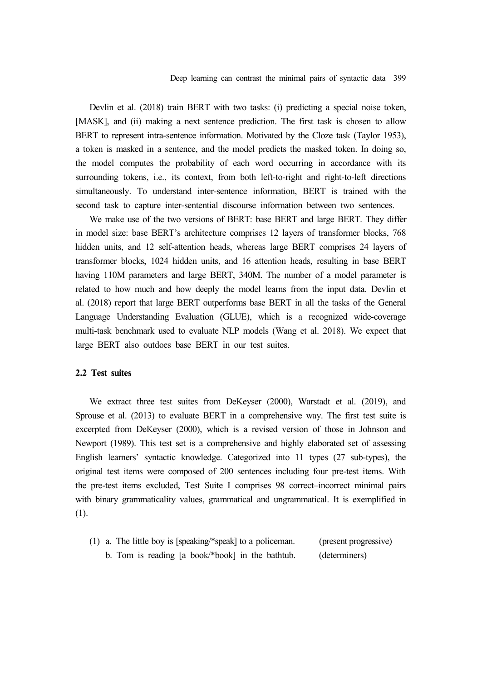Devlin et al. (2018) train BERT with two tasks: (i) predicting a special noise token, [MASK], and (ii) making a next sentence prediction. The first task is chosen to allow BERT to represent intra-sentence information. Motivated by the Cloze task (Taylor 1953), a token is masked in a sentence, and the model predicts the masked token. In doing so, the model computes the probability of each word occurring in accordance with its surrounding tokens, i.e., its context, from both left-to-right and right-to-left directions simultaneously. To understand inter-sentence information, BERT is trained with the second task to capture inter-sentential discourse information between two sentences.

We make use of the two versions of BERT: base BERT and large BERT. They differ in model size: base BERT's architecture comprises 12 layers of transformer blocks, 768 hidden units, and 12 self-attention heads, whereas large BERT comprises 24 layers of transformer blocks, 1024 hidden units, and 16 attention heads, resulting in base BERT having 110M parameters and large BERT, 340M. The number of a model parameter is related to how much and how deeply the model learns from the input data. Devlin et al. (2018) report that large BERT outperforms base BERT in all the tasks of the General Language Understanding Evaluation (GLUE), which is a recognized wide-coverage multi-task benchmark used to evaluate NLP models (Wang et al. 2018). We expect that large BERT also outdoes base BERT in our test suites.

## **2.2 Test suites**

We extract three test suites from DeKeyser (2000), Warstadt et al. (2019), and Sprouse et al. (2013) to evaluate BERT in a comprehensive way. The first test suite is excerpted from DeKeyser (2000), which is a revised version of those in Johnson and Newport (1989). This test set is a comprehensive and highly elaborated set of assessing English learners' syntactic knowledge. Categorized into 11 types (27 sub-types), the original test items were composed of 200 sentences including four pre-test items. With the pre-test items excluded, Test Suite I comprises 98 correct–incorrect minimal pairs with binary grammaticality values, grammatical and ungrammatical. It is exemplified in (1).

(1) a. The little boy is [speaking/\*speak] to a policeman. (present progressive) b. Tom is reading [a book/\*book] in the bathtub. (determiners)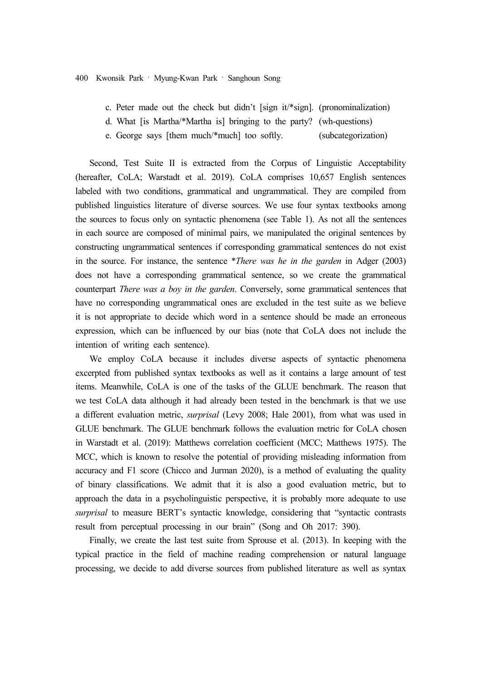- c. Peter made out the check but didn't [sign it/\*sign]. (pronominalization)
- d. What [is Martha/\*Martha is] bringing to the party? (wh-questions)
- e. George says [them much/\*much] too softly. (subcategorization)

Second, Test Suite II is extracted from the Corpus of Linguistic Acceptability (hereafter, CoLA; Warstadt et al. 2019). CoLA comprises 10,657 English sentences labeled with two conditions, grammatical and ungrammatical. They are compiled from published linguistics literature of diverse sources. We use four syntax textbooks among the sources to focus only on syntactic phenomena (see Table 1). As not all the sentences in each source are composed of minimal pairs, we manipulated the original sentences by constructing ungrammatical sentences if corresponding grammatical sentences do not exist in the source. For instance, the sentence \**There was he in the garden* in Adger (2003) does not have a corresponding grammatical sentence, so we create the grammatical counterpart *There was a boy in the garden*. Conversely, some grammatical sentences that have no corresponding ungrammatical ones are excluded in the test suite as we believe it is not appropriate to decide which word in a sentence should be made an erroneous expression, which can be influenced by our bias (note that CoLA does not include the intention of writing each sentence).

We employ CoLA because it includes diverse aspects of syntactic phenomena excerpted from published syntax textbooks as well as it contains a large amount of test items. Meanwhile, CoLA is one of the tasks of the GLUE benchmark. The reason that we test CoLA data although it had already been tested in the benchmark is that we use a different evaluation metric, *surprisal* (Levy 2008; Hale 2001), from what was used in GLUE benchmark. The GLUE benchmark follows the evaluation metric for CoLA chosen in Warstadt et al. (2019): Matthews correlation coefficient (MCC; Matthews 1975). The MCC, which is known to resolve the potential of providing misleading information from accuracy and F1 score (Chicco and Jurman 2020), is a method of evaluating the quality of binary classifications. We admit that it is also a good evaluation metric, but to approach the data in a psycholinguistic perspective, it is probably more adequate to use *surprisal* to measure BERT's syntactic knowledge, considering that "syntactic contrasts result from perceptual processing in our brain" (Song and Oh 2017: 390).

Finally, we create the last test suite from Sprouse et al. (2013). In keeping with the typical practice in the field of machine reading comprehension or natural language processing, we decide to add diverse sources from published literature as well as syntax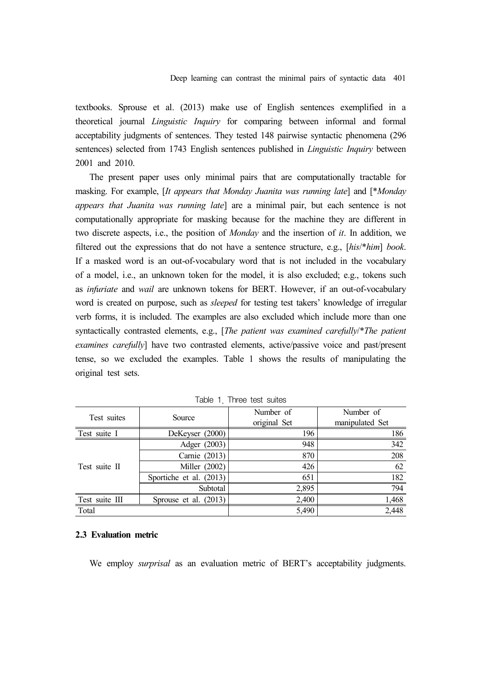textbooks. Sprouse et al. (2013) make use of English sentences exemplified in a theoretical journal *Linguistic Inquiry* for comparing between informal and formal acceptability judgments of sentences. They tested 148 pairwise syntactic phenomena (296 sentences) selected from 1743 English sentences published in *Linguistic Inquiry* between 2001 and 2010.

The present paper uses only minimal pairs that are computationally tractable for masking. For example, [*It appears that Monday Juanita was running late*] and [\**Monday appears that Juanita was running late*] are a minimal pair, but each sentence is not computationally appropriate for masking because for the machine they are different in two discrete aspects, i.e., the position of *Monday* and the insertion of *it*. In addition, we filtered out the expressions that do not have a sentence structure, e.g., [*his*/\**him*] *book*. If a masked word is an out-of-vocabulary word that is not included in the vocabulary of a model, i.e., an unknown token for the model, it is also excluded; e.g., tokens such as *infuriate* and *wail* are unknown tokens for BERT. However, if an out-of-vocabulary word is created on purpose, such as *sleeped* for testing test takers' knowledge of irregular verb forms, it is included. The examples are also excluded which include more than one syntactically contrasted elements, e.g., [*The patient was examined carefully*/\**The patient examines carefully*] have two contrasted elements, active/passive voice and past/present tense, so we excluded the examples. Table 1 shows the results of manipulating the original test sets.

| Test suites    | Source                  | Number of<br>original Set | Number of<br>manipulated Set |
|----------------|-------------------------|---------------------------|------------------------------|
| Test suite I   | DeKeyser (2000)         | 196                       | 186                          |
|                | Adger (2003)            | 948                       | 342                          |
|                | Carnie (2013)           | 870                       | 208                          |
| Test suite II  | Miller (2002)           | 426                       | 62                           |
|                | Sportiche et al. (2013) | 651                       | 182                          |
|                | Subtotal                | 2,895                     | 794                          |
| Test suite III | Sprouse et al. (2013)   | 2,400                     | 1,468                        |
| Total          |                         | 5,490                     | 2,448                        |

Table 1. Three test suites

### **2.3 Evaluation metric**

We employ *surprisal* as an evaluation metric of BERT's acceptability judgments.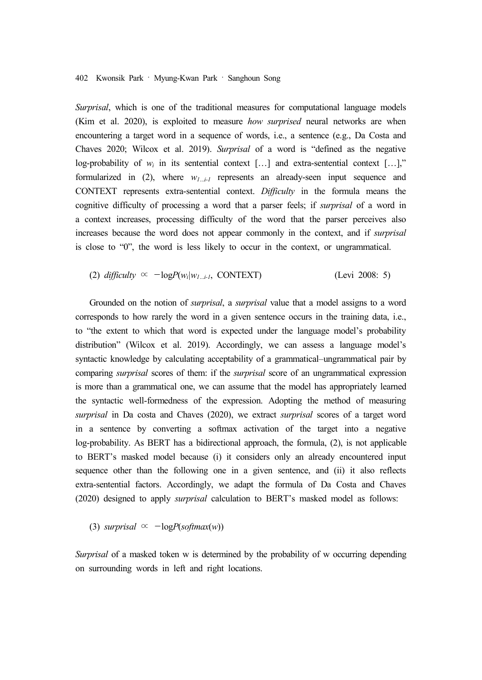*Surprisal*, which is one of the traditional measures for computational language models (Kim et al. 2020), is exploited to measure *how surprised* neural networks are when encountering a target word in a sequence of words, i.e., a sentence (e.g., Da Costa and Chaves 2020; Wilcox et al. 2019). *Surprisal* of a word is "defined as the negative log-probability of  $w_i$  in its sentential context [...] and extra-sentential context [...]," formularized in (2), where *w1…i-1* represents an already-seen input sequence and CONTEXT represents extra-sentential context. *Difficulty* in the formula means the cognitive difficulty of processing a word that a parser feels; if *surprisal* of a word in a context increases, processing difficulty of the word that the parser perceives also increases because the word does not appear commonly in the context, and if *surprisal*  is close to "0", the word is less likely to occur in the context, or ungrammatical.

(2) *diffically* 
$$
\propto -\log P(w_i|w_{i...i})
$$
, *CONTEXT*) (Levi 2008: 5)

Grounded on the notion of *surprisal*, a *surprisal* value that a model assigns to a word corresponds to how rarely the word in a given sentence occurs in the training data, i.e., to "the extent to which that word is expected under the language model's probability distribution" (Wilcox et al. 2019). Accordingly, we can assess a language model's syntactic knowledge by calculating acceptability of a grammatical–ungrammatical pair by comparing *surprisal* scores of them: if the *surprisal* score of an ungrammatical expression is more than a grammatical one, we can assume that the model has appropriately learned the syntactic well-formedness of the expression. Adopting the method of measuring *surprisal* in Da costa and Chaves (2020), we extract *surprisal* scores of a target word in a sentence by converting a softmax activation of the target into a negative log-probability. As BERT has a bidirectional approach, the formula, (2), is not applicable to BERT's masked model because (i) it considers only an already encountered input sequence other than the following one in a given sentence, and (ii) it also reflects extra-sentential factors. Accordingly, we adapt the formula of Da Costa and Chaves (2020) designed to apply *surprisal* calculation to BERT's masked model as follows:

(3) *surprisal*  $\propto -\log P(\text{softmax}(w))$ 

*Surprisal* of a masked token w is determined by the probability of w occurring depending on surrounding words in left and right locations.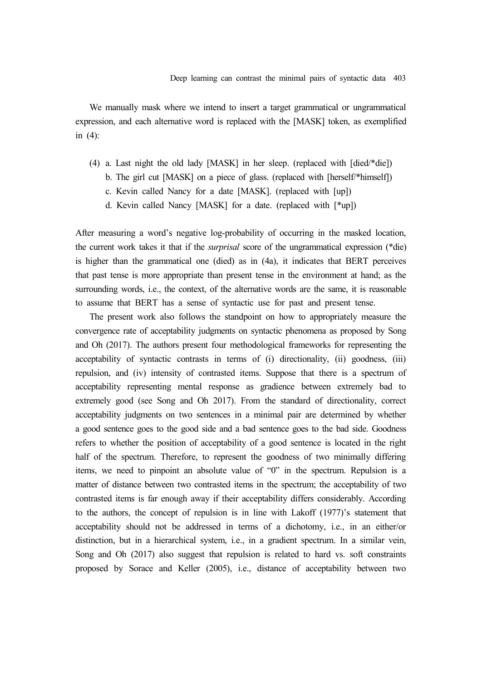We manually mask where we intend to insert a target grammatical or ungrammatical expression, and each alternative word is replaced with the [MASK] token, as exemplified in (4):

- (4) a. Last night the old lady [MASK] in her sleep. (replaced with [died/\*die])
	- b. The girl cut [MASK] on a piece of glass. (replaced with [herself/\*himself])
	- c. Kevin called Nancy for a date [MASK]. (replaced with [up])
	- d. Kevin called Nancy [MASK] for a date. (replaced with [\*up])

After measuring a word's negative log-probability of occurring in the masked location, the current work takes it that if the *surprisal* score of the ungrammatical expression (\*die) is higher than the grammatical one (died) as in (4a), it indicates that BERT perceives that past tense is more appropriate than present tense in the environment at hand; as the surrounding words, i.e., the context, of the alternative words are the same, it is reasonable to assume that BERT has a sense of syntactic use for past and present tense.

The present work also follows the standpoint on how to appropriately measure the convergence rate of acceptability judgments on syntactic phenomena as proposed by Song and Oh (2017). The authors present four methodological frameworks for representing the acceptability of syntactic contrasts in terms of (i) directionality, (ii) goodness, (iii) repulsion, and (iv) intensity of contrasted items. Suppose that there is a spectrum of acceptability representing mental response as gradience between extremely bad to extremely good (see Song and Oh 2017). From the standard of directionality, correct acceptability judgments on two sentences in a minimal pair are determined by whether a good sentence goes to the good side and a bad sentence goes to the bad side. Goodness refers to whether the position of acceptability of a good sentence is located in the right half of the spectrum. Therefore, to represent the goodness of two minimally differing items, we need to pinpoint an absolute value of "0" in the spectrum. Repulsion is a matter of distance between two contrasted items in the spectrum; the acceptability of two contrasted items is far enough away if their acceptability differs considerably. According to the authors, the concept of repulsion is in line with Lakoff (1977)'s statement that acceptability should not be addressed in terms of a dichotomy, i.e., in an either/or distinction, but in a hierarchical system, i.e., in a gradient spectrum. In a similar vein, Song and Oh (2017) also suggest that repulsion is related to hard vs. soft constraints proposed by Sorace and Keller (2005), i.e., distance of acceptability between two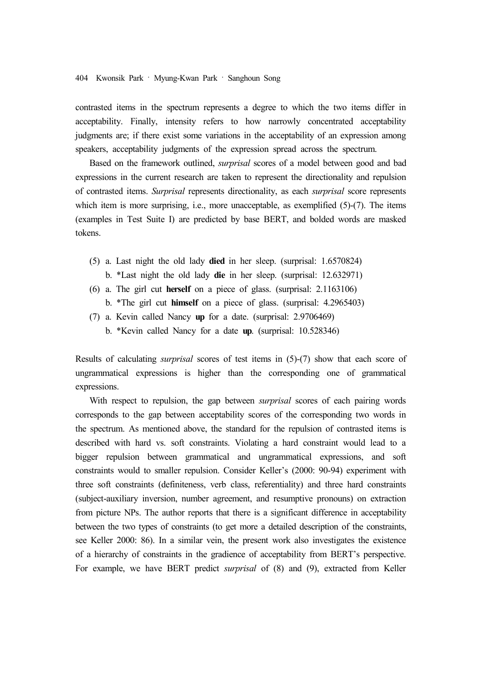contrasted items in the spectrum represents a degree to which the two items differ in acceptability. Finally, intensity refers to how narrowly concentrated acceptability judgments are; if there exist some variations in the acceptability of an expression among speakers, acceptability judgments of the expression spread across the spectrum.

Based on the framework outlined, *surprisal* scores of a model between good and bad expressions in the current research are taken to represent the directionality and repulsion of contrasted items. *Surprisal* represents directionality, as each *surprisal* score represents which item is more surprising, i.e., more unacceptable, as exemplified  $(5)-(7)$ . The items (examples in Test Suite I) are predicted by base BERT, and bolded words are masked tokens.

- (5) a. Last night the old lady **died** in her sleep. (surprisal: 1.6570824)
	- b. \*Last night the old lady **die** in her sleep. (surprisal: 12.632971)
- (6) a. The girl cut **herself** on a piece of glass. (surprisal: 2.1163106)
	- b. \*The girl cut **himself** on a piece of glass. (surprisal: 4.2965403)
- (7) a. Kevin called Nancy **up** for a date. (surprisal: 2.9706469)
	- b. \*Kevin called Nancy for a date **up**. (surprisal: 10.528346)

Results of calculating *surprisal* scores of test items in (5)-(7) show that each score of ungrammatical expressions is higher than the corresponding one of grammatical expressions.

With respect to repulsion, the gap between *surprisal* scores of each pairing words corresponds to the gap between acceptability scores of the corresponding two words in the spectrum. As mentioned above, the standard for the repulsion of contrasted items is described with hard vs. soft constraints. Violating a hard constraint would lead to a bigger repulsion between grammatical and ungrammatical expressions, and soft constraints would to smaller repulsion. Consider Keller's (2000: 90-94) experiment with three soft constraints (definiteness, verb class, referentiality) and three hard constraints (subject-auxiliary inversion, number agreement, and resumptive pronouns) on extraction from picture NPs. The author reports that there is a significant difference in acceptability between the two types of constraints (to get more a detailed description of the constraints, see Keller 2000: 86). In a similar vein, the present work also investigates the existence of a hierarchy of constraints in the gradience of acceptability from BERT's perspective. For example, we have BERT predict *surprisal* of (8) and (9), extracted from Keller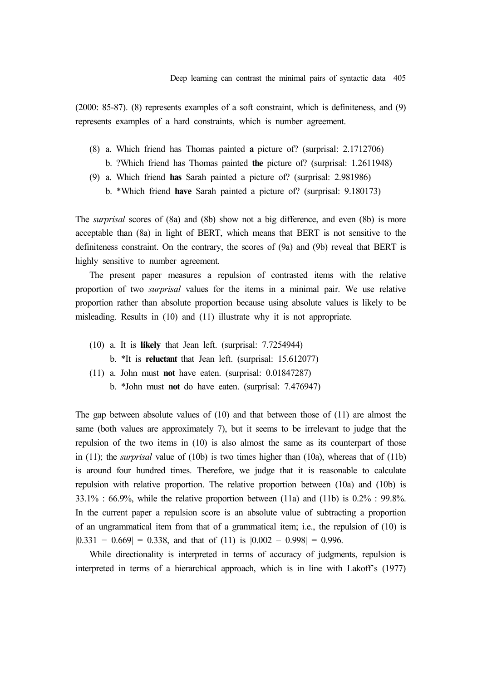(2000: 85-87). (8) represents examples of a soft constraint, which is definiteness, and (9) represents examples of a hard constraints, which is number agreement.

- (8) a. Which friend has Thomas painted **a** picture of? (surprisal: 2.1712706)
	- b. ?Which friend has Thomas painted **the** picture of? (surprisal: 1.2611948)
- (9) a. Which friend **has** Sarah painted a picture of? (surprisal: 2.981986)
	- b. \*Which friend **have** Sarah painted a picture of? (surprisal: 9.180173)

The *surprisal* scores of (8a) and (8b) show not a big difference, and even (8b) is more acceptable than (8a) in light of BERT, which means that BERT is not sensitive to the definiteness constraint. On the contrary, the scores of (9a) and (9b) reveal that BERT is highly sensitive to number agreement.

The present paper measures a repulsion of contrasted items with the relative proportion of two *surprisal* values for the items in a minimal pair. We use relative proportion rather than absolute proportion because using absolute values is likely to be misleading. Results in (10) and (11) illustrate why it is not appropriate.

- (10) a. It is **likely** that Jean left. (surprisal: 7.7254944)
	- b. \*It is **reluctant** that Jean left. (surprisal: 15.612077)
- (11) a. John must **not** have eaten. (surprisal: 0.01847287)
	- b. \*John must **not** do have eaten. (surprisal: 7.476947)

The gap between absolute values of (10) and that between those of (11) are almost the same (both values are approximately 7), but it seems to be irrelevant to judge that the repulsion of the two items in (10) is also almost the same as its counterpart of those in (11); the *surprisal* value of (10b) is two times higher than (10a), whereas that of (11b) is around four hundred times. Therefore, we judge that it is reasonable to calculate repulsion with relative proportion. The relative proportion between (10a) and (10b) is 33.1% : 66.9%, while the relative proportion between (11a) and (11b) is 0.2% : 99.8%. In the current paper a repulsion score is an absolute value of subtracting a proportion of an ungrammatical item from that of a grammatical item; i.e., the repulsion of (10) is  $|0.331 - 0.669| = 0.338$ , and that of (11) is  $|0.002 - 0.998| = 0.996$ .

While directionality is interpreted in terms of accuracy of judgments, repulsion is interpreted in terms of a hierarchical approach, which is in line with Lakoff's (1977)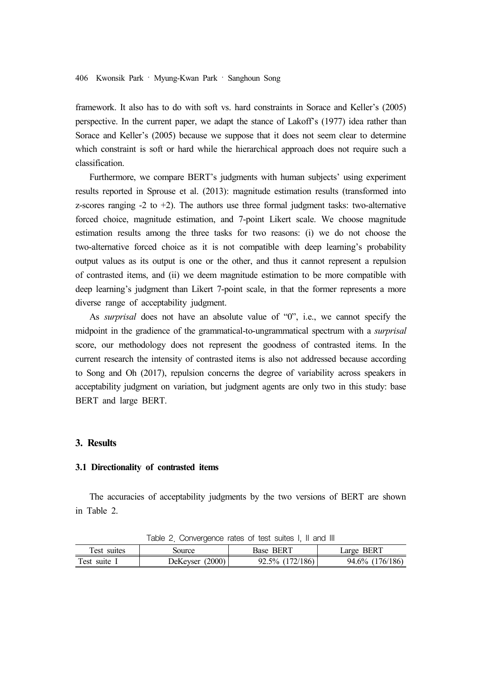framework. It also has to do with soft vs. hard constraints in Sorace and Keller's (2005) perspective. In the current paper, we adapt the stance of Lakoff's (1977) idea rather than Sorace and Keller's (2005) because we suppose that it does not seem clear to determine which constraint is soft or hard while the hierarchical approach does not require such a classification.

Furthermore, we compare BERT's judgments with human subjects' using experiment results reported in Sprouse et al. (2013): magnitude estimation results (transformed into z-scores ranging  $-2$  to  $+2$ ). The authors use three formal judgment tasks: two-alternative forced choice, magnitude estimation, and 7-point Likert scale. We choose magnitude estimation results among the three tasks for two reasons: (i) we do not choose the two-alternative forced choice as it is not compatible with deep learning's probability output values as its output is one or the other, and thus it cannot represent a repulsion of contrasted items, and (ii) we deem magnitude estimation to be more compatible with deep learning's judgment than Likert 7-point scale, in that the former represents a more diverse range of acceptability judgment.

As *surprisal* does not have an absolute value of "0", i.e., we cannot specify the midpoint in the gradience of the grammatical-to-ungrammatical spectrum with a *surprisal* score, our methodology does not represent the goodness of contrasted items. In the current research the intensity of contrasted items is also not addressed because according to Song and Oh (2017), repulsion concerns the degree of variability across speakers in acceptability judgment on variation, but judgment agents are only two in this study: base BERT and large BERT.

# **3. Results**

# **3.1 Directionality of contrasted items**

The accuracies of acceptability judgments by the two versions of BERT are shown in Table 2.

| $1800 \leq$ OUTIVERGENCE TAKES OF LEST SUITES I, IT GITCH III |                   |                    |                 |  |  |
|---------------------------------------------------------------|-------------------|--------------------|-----------------|--|--|
| Test suites                                                   | Source            | <b>Base BERT</b>   | Large BERT      |  |  |
| Test suite 1                                                  | DeKeyser $(2000)$ | $92.5\%$ (172/186) | 94.6% (176/186) |  |  |

Table 2. Convergence rates of test suites I, II and III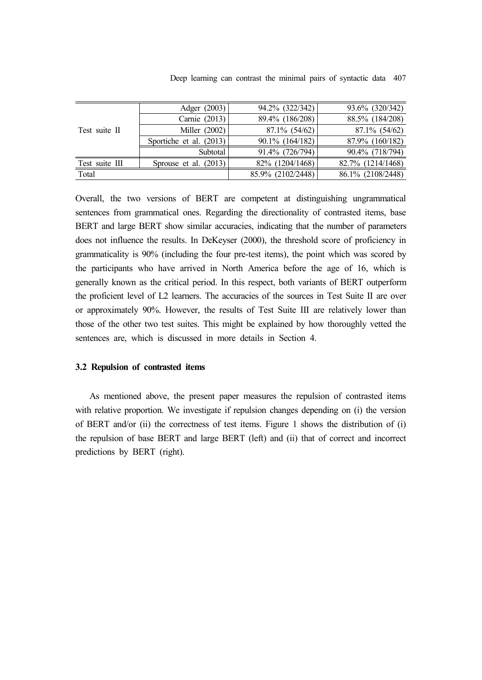|  |  |  |  |  |  |  |  | Deep learning can contrast the minimal pairs of syntactic data 407 |  |  |  |
|--|--|--|--|--|--|--|--|--------------------------------------------------------------------|--|--|--|
|--|--|--|--|--|--|--|--|--------------------------------------------------------------------|--|--|--|

|                | Adger (2003)            | 94.2% (322/342)   | 93.6% (320/342)   |
|----------------|-------------------------|-------------------|-------------------|
|                | Carnie (2013)           | 89.4% (186/208)   | 88.5% (184/208)   |
| Test suite II  | Miller (2002)           | $87.1\%$ (54/62)  | $87.1\%$ (54/62)  |
|                | Sportiche et al. (2013) | 90.1% (164/182)   | 87.9% (160/182)   |
|                | Subtotal                | 91.4% (726/794)   | 90.4% (718/794)   |
| Test suite III | Sprouse et al. $(2013)$ | 82% (1204/1468)   | 82.7% (1214/1468) |
| Total          |                         | 85.9% (2102/2448) | 86.1% (2108/2448) |

Overall, the two versions of BERT are competent at distinguishing ungrammatical sentences from grammatical ones. Regarding the directionality of contrasted items, base BERT and large BERT show similar accuracies, indicating that the number of parameters does not influence the results. In DeKeyser (2000), the threshold score of proficiency in grammaticality is 90% (including the four pre-test items), the point which was scored by the participants who have arrived in North America before the age of 16, which is generally known as the critical period. In this respect, both variants of BERT outperform the proficient level of L2 learners. The accuracies of the sources in Test Suite II are over or approximately 90%. However, the results of Test Suite III are relatively lower than those of the other two test suites. This might be explained by how thoroughly vetted the sentences are, which is discussed in more details in Section 4.

## **3.2 Repulsion of contrasted items**

As mentioned above, the present paper measures the repulsion of contrasted items with relative proportion. We investigate if repulsion changes depending on (i) the version of BERT and/or (ii) the correctness of test items. Figure 1 shows the distribution of (i) the repulsion of base BERT and large BERT (left) and (ii) that of correct and incorrect predictions by BERT (right).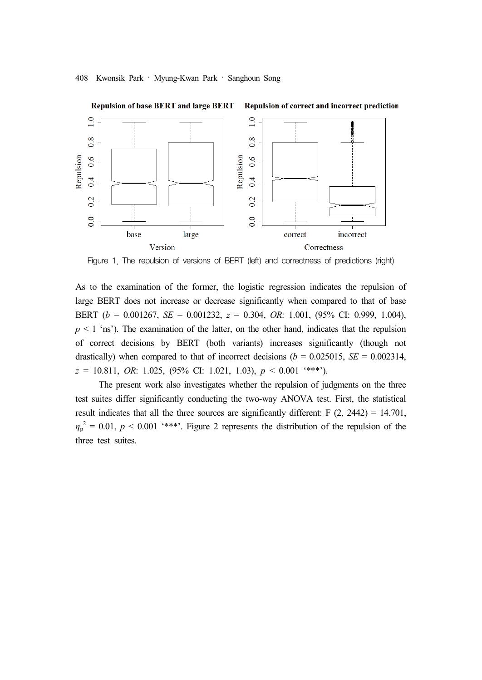

Figure 1. The repulsion of versions of BERT (left) and correctness of predictions (right)

As to the examination of the former, the logistic regression indicates the repulsion of large BERT does not increase or decrease significantly when compared to that of base BERT (*b* = 0.001267, *SE* = 0.001232, *z* = 0.304, *OR*: 1.001, (95% CI: 0.999, 1.004),  $p \leq 1$  'ns'). The examination of the latter, on the other hand, indicates that the repulsion of correct decisions by BERT (both variants) increases significantly (though not drastically) when compared to that of incorrect decisions ( $b = 0.025015$ , *SE* = 0.002314, *z* = 10.811, *OR*: 1.025, (95% CI: 1.021, 1.03), *p* < 0.001 '\*\*\*').

The present work also investigates whether the repulsion of judgments on the three test suites differ significantly conducting the two-way ANOVA test. First, the statistical result indicates that all the three sources are significantly different:  $F(2, 2442) = 14.701$ ,  $\eta_p^2 = 0.01$ ,  $p \le 0.001$  '\*\*\*'. Figure 2 represents the distribution of the repulsion of the three test suites.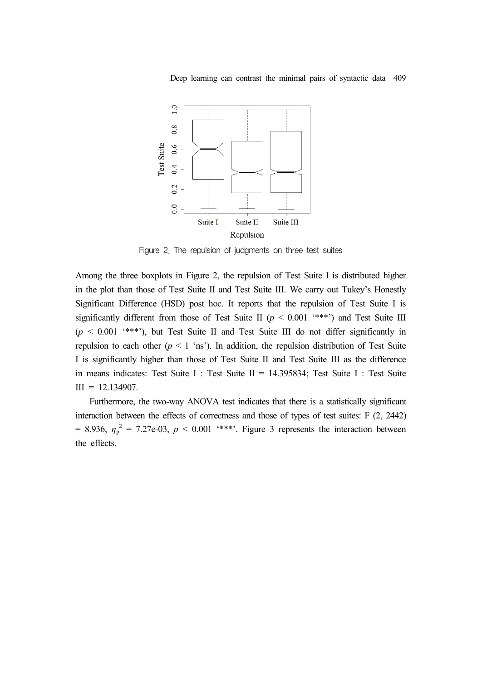Deep learning can contrast the minimal pairs of syntactic data 409



Figure 2. The repulsion of judgments on three test suites

Among the three boxplots in Figure 2, the repulsion of Test Suite I is distributed higher in the plot than those of Test Suite II and Test Suite III. We carry out Tukey's Honestly Significant Difference (HSD) post hoc. It reports that the repulsion of Test Suite I is significantly different from those of Test Suite II ( $p < 0.001$  '\*\*\*') and Test Suite III  $(p \le 0.001$  \*\*\*'), but Test Suite II and Test Suite III do not differ significantly in repulsion to each other ( $p < 1$  'ns'). In addition, the repulsion distribution of Test Suite I is significantly higher than those of Test Suite II and Test Suite III as the difference in means indicates: Test Suite I : Test Suite II = 14.395834; Test Suite I : Test Suite  $III = 12.134907.$ 

Furthermore, the two-way ANOVA test indicates that there is a statistically significant interaction between the effects of correctness and those of types of test suites: F (2, 2442)  $= 8.936$ ,  $\eta_p^2 = 7.27e-03$ ,  $p \le 0.001$  <sup>\*\*\*\*</sup>. Figure 3 represents the interaction between the effects.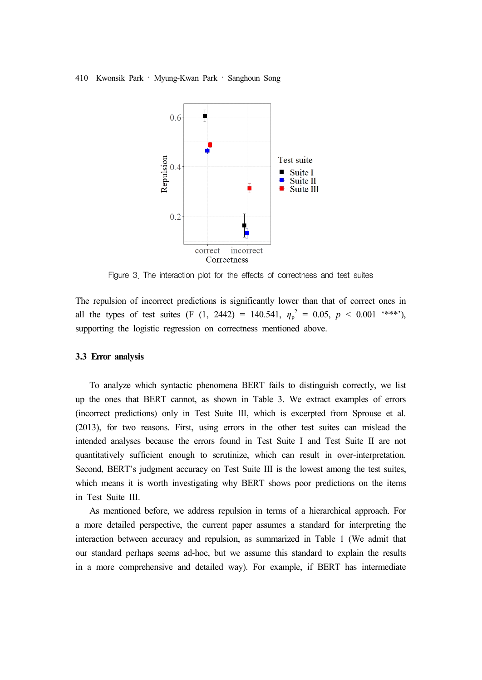

Figure 3. The interaction plot for the effects of correctness and test suites

The repulsion of incorrect predictions is significantly lower than that of correct ones in all the types of test suites (F (1, 2442) = 140.541,  $\eta_p^2 = 0.05$ ,  $p < 0.001$  \*\*\*'), supporting the logistic regression on correctness mentioned above.

#### **3.3 Error analysis**

To analyze which syntactic phenomena BERT fails to distinguish correctly, we list up the ones that BERT cannot, as shown in Table 3. We extract examples of errors (incorrect predictions) only in Test Suite III, which is excerpted from Sprouse et al. (2013), for two reasons. First, using errors in the other test suites can mislead the intended analyses because the errors found in Test Suite I and Test Suite II are not quantitatively sufficient enough to scrutinize, which can result in over-interpretation. Second, BERT's judgment accuracy on Test Suite III is the lowest among the test suites, which means it is worth investigating why BERT shows poor predictions on the items in Test Suite III.

As mentioned before, we address repulsion in terms of a hierarchical approach. For a more detailed perspective, the current paper assumes a standard for interpreting the interaction between accuracy and repulsion, as summarized in Table 1 (We admit that our standard perhaps seems ad-hoc, but we assume this standard to explain the results in a more comprehensive and detailed way). For example, if BERT has intermediate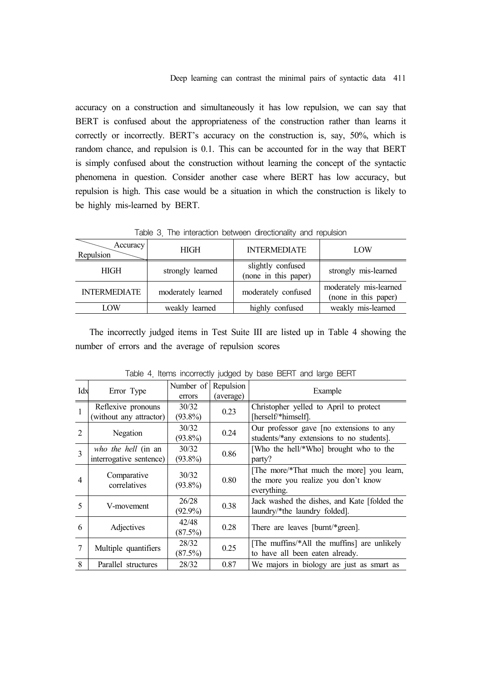accuracy on a construction and simultaneously it has low repulsion, we can say that BERT is confused about the appropriateness of the construction rather than learns it correctly or incorrectly. BERT's accuracy on the construction is, say, 50%, which is random chance, and repulsion is 0.1. This can be accounted for in the way that BERT is simply confused about the construction without learning the concept of the syntactic phenomena in question. Consider another case where BERT has low accuracy, but repulsion is high. This case would be a situation in which the construction is likely to be highly mis-learned by BERT.

| Accuracy<br>Repulsion | <b>HIGH</b>        | <b>INTERMEDIATE</b>                       | LOW                                            |  |  |  |  |  |
|-----------------------|--------------------|-------------------------------------------|------------------------------------------------|--|--|--|--|--|
| <b>HIGH</b>           | strongly learned   | slightly confused<br>(none in this paper) | strongly mis-learned                           |  |  |  |  |  |
| <b>INTERMEDIATE</b>   | moderately learned | moderately confused                       | moderately mis-learned<br>(none in this paper) |  |  |  |  |  |
| LOW                   | weakly learned     | highly confused                           | weakly mis-learned                             |  |  |  |  |  |

Table 3. The interaction between directionality and repulsion

The incorrectly judged items in Test Suite III are listed up in Table 4 showing the number of errors and the average of repulsion scores

| Idx            | Error Type                                     | Number of<br>errors | Repulsion<br>(average) | Example                                                                                         |
|----------------|------------------------------------------------|---------------------|------------------------|-------------------------------------------------------------------------------------------------|
| $\mathbf{1}$   | Reflexive pronouns<br>(without any attractor)  | 30/32<br>$(93.8\%)$ | 0.23                   | Christopher yelled to April to protect<br>[herself/*himself].                                   |
| $\overline{2}$ | Negation                                       | 30/32<br>$(93.8\%)$ | 0.24                   | Our professor gave [no extensions to any<br>students/*any extensions to no students].           |
| 3              | who the hell (in an<br>interrogative sentence) | 30/32<br>$(93.8\%)$ | 0.86                   | [Who the hell/*Who] brought who to the<br>party?                                                |
| $\overline{A}$ | Comparative<br>correlatives                    | 30/32<br>$(93.8\%)$ | 0.80                   | [The more/*That much the more] you learn,<br>the more you realize you don't know<br>everything. |
| 5              | V-movement                                     | 26/28<br>$(92.9\%)$ | 0.38                   | Jack washed the dishes, and Kate [folded the<br>laundry/*the laundry folded].                   |
| 6              | Adjectives                                     | 42/48<br>(87.5%)    | 0.28                   | There are leaves [burnt/*green].                                                                |
| $\overline{7}$ | Multiple quantifiers                           | 28/32<br>(87.5%)    | 0.25                   | [The muffins/*All the muffins] are unlikely<br>to have all been eaten already.                  |
| 8              | Parallel structures                            | 28/32               | 0.87                   | We majors in biology are just as smart as                                                       |

Table 4. Items incorrectly judged by base BERT and large BERT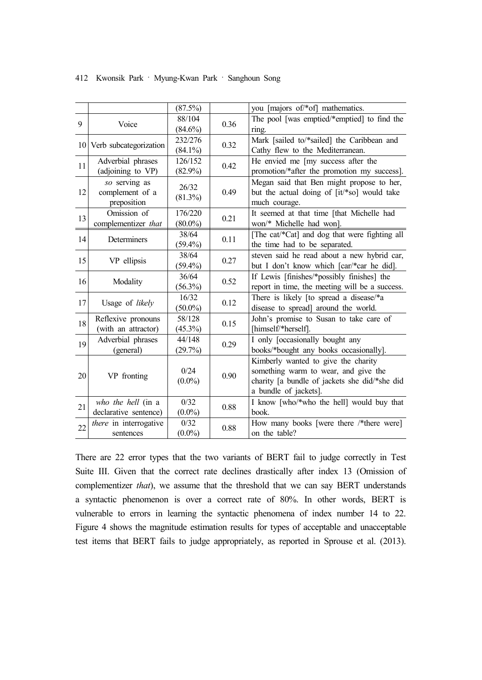|    |                           | (87.5%)    |      | you [majors of/*of] mathematics.               |
|----|---------------------------|------------|------|------------------------------------------------|
| 9  | Voice                     | 88/104     | 0.36 | The pool [was emptied/*emptied] to find the    |
|    |                           | $(84.6\%)$ |      | ring.                                          |
|    |                           | 232/276    | 0.32 | Mark [sailed to/*sailed] the Caribbean and     |
|    | 10 Verb subcategorization | $(84.1\%)$ |      | Cathy flew to the Mediterranean.               |
|    | Adverbial phrases         | 126/152    | 0.42 | He envied me [my success after the             |
| 11 | (adjoining to VP)         | $(82.9\%)$ |      | promotion/*after the promotion my success].    |
|    | so serving as             | 26/32      |      | Megan said that Ben might propose to her,      |
| 12 | complement of a           | $(81.3\%)$ | 0.49 | but the actual doing of [it/*so] would take    |
|    | preposition               |            |      | much courage.                                  |
|    | Omission of               | 176/220    | 0.21 | It seemed at that time [that Michelle had      |
| 13 | complementizer that       | $(80.0\%)$ |      | won/* Michelle had won].                       |
| 14 | Determiners               | 38/64      | 0.11 | [The cat/*Cat] and dog that were fighting all  |
|    |                           | $(59.4\%)$ |      | the time had to be separated.                  |
| 15 | VP ellipsis               | 38/64      |      | steven said he read about a new hybrid car,    |
|    |                           | $(59.4\%)$ | 0.27 | but I don't know which [car/*car he did].      |
|    | Modality                  | 36/64      | 0.52 | If Lewis [finishes/*possibly finishes] the     |
| 16 |                           | $(56.3\%)$ |      | report in time, the meeting will be a success. |
|    | Usage of likely           | 16/32      | 0.12 | There is likely [to spread a disease/*a        |
| 17 |                           | $(50.0\%)$ |      | disease to spread] around the world.           |
| 18 | Reflexive pronouns        | 58/128     | 0.15 | John's promise to Susan to take care of        |
|    | (with an attractor)       | $(45.3\%)$ |      | [himself/*herself].                            |
| 19 | Adverbial phrases         | 44/148     |      | I only [occasionally bought any                |
|    | (general)                 | (29.7%)    | 0.29 | books/*bought any books occasionally].         |
|    |                           |            |      | Kimberly wanted to give the charity            |
|    |                           | 0/24       |      | something warm to wear, and give the           |
| 20 | VP fronting               | $(0.0\%)$  | 0.90 | charity [a bundle of jackets she did/*she did  |
|    |                           |            |      | a bundle of jackets].                          |
| 21 | who the hell (in a        | 0/32       |      | I know [who/*who the hell] would buy that      |
|    | declarative sentence)     | $(0.0\%)$  | 0.88 | book.                                          |
| 22 | there in interrogative    | 0/32       |      | How many books [were there /*there were]       |
|    | sentences                 | $(0.0\%)$  | 0.88 | on the table?                                  |

There are 22 error types that the two variants of BERT fail to judge correctly in Test Suite III. Given that the correct rate declines drastically after index 13 (Omission of complementizer *that*), we assume that the threshold that we can say BERT understands a syntactic phenomenon is over a correct rate of 80%. In other words, BERT is vulnerable to errors in learning the syntactic phenomena of index number 14 to 22. Figure 4 shows the magnitude estimation results for types of acceptable and unacceptable test items that BERT fails to judge appropriately, as reported in Sprouse et al. (2013).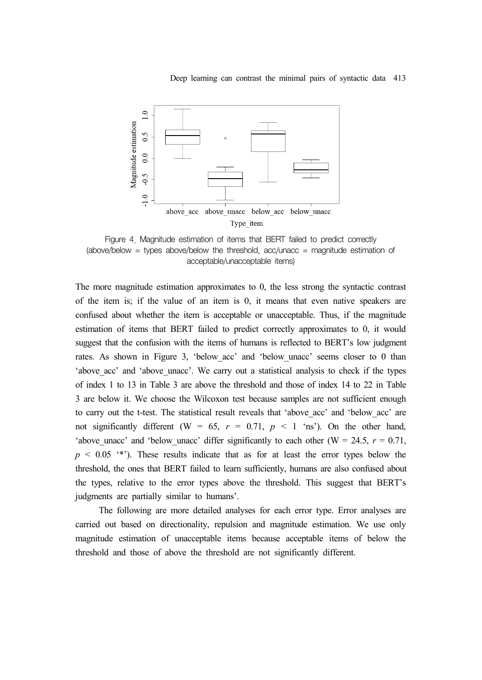

Figure 4. Magnitude estimation of items that BERT failed to predict correctly (above/below = types above/below the threshold, acc/unacc = magnitude estimation of acceptable/unacceptable items)

The more magnitude estimation approximates to 0, the less strong the syntactic contrast of the item is; if the value of an item is 0, it means that even native speakers are confused about whether the item is acceptable or unacceptable. Thus, if the magnitude estimation of items that BERT failed to predict correctly approximates to 0, it would suggest that the confusion with the items of humans is reflected to BERT's low judgment rates. As shown in Figure 3, 'below acc' and 'below unacc' seems closer to 0 than 'above acc' and 'above unacc'. We carry out a statistical analysis to check if the types of index 1 to 13 in Table 3 are above the threshold and those of index 14 to 22 in Table 3 are below it. We choose the Wilcoxon test because samples are not sufficient enough to carry out the t-test. The statistical result reveals that 'above\_acc' and 'below\_acc' are not significantly different (W =  $65$ ,  $r = 0.71$ ,  $p < 1$  'ns'). On the other hand, 'above unacc' and 'below unacc' differ significantly to each other (W = 24.5,  $r = 0.71$ ,  $p \leq 0.05$  \*\*'). These results indicate that as for at least the error types below the threshold, the ones that BERT failed to learn sufficiently, humans are also confused about the types, relative to the error types above the threshold. This suggest that BERT's judgments are partially similar to humans'.

The following are more detailed analyses for each error type. Error analyses are carried out based on directionality, repulsion and magnitude estimation. We use only magnitude estimation of unacceptable items because acceptable items of below the threshold and those of above the threshold are not significantly different.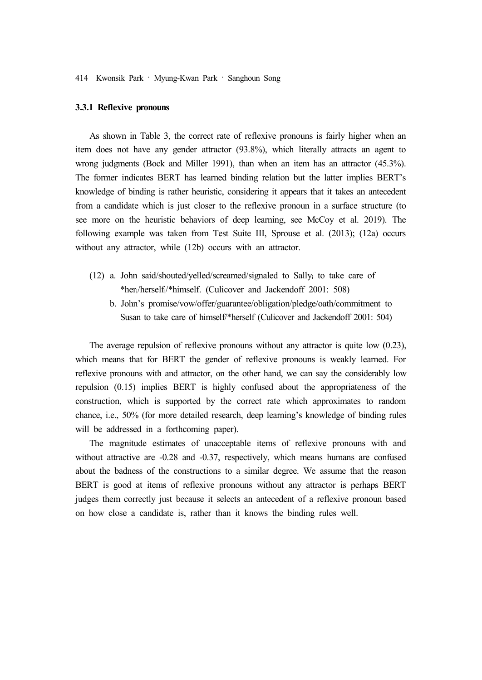## **3.3.1 Reflexive pronouns**

As shown in Table 3, the correct rate of reflexive pronouns is fairly higher when an item does not have any gender attractor (93.8%), which literally attracts an agent to wrong judgments (Bock and Miller 1991), than when an item has an attractor (45.3%). The former indicates BERT has learned binding relation but the latter implies BERT's knowledge of binding is rather heuristic, considering it appears that it takes an antecedent from a candidate which is just closer to the reflexive pronoun in a surface structure (to see more on the heuristic behaviors of deep learning, see McCoy et al. 2019). The following example was taken from Test Suite III, Sprouse et al. (2013); (12a) occurs without any attractor, while (12b) occurs with an attractor.

- (12) a. John said/shouted/yelled/screamed/signaled to Sally<sup>i</sup> to take care of \*heri/herselfi/\*himself. (Culicover and Jackendoff 2001: 508)
	- b. John's promise/vow/offer/guarantee/obligation/pledge/oath/commitment to Susan to take care of himself/\*herself (Culicover and Jackendoff 2001: 504)

The average repulsion of reflexive pronouns without any attractor is quite low (0.23), which means that for BERT the gender of reflexive pronouns is weakly learned. For reflexive pronouns with and attractor, on the other hand, we can say the considerably low repulsion (0.15) implies BERT is highly confused about the appropriateness of the construction, which is supported by the correct rate which approximates to random chance, i.e., 50% (for more detailed research, deep learning's knowledge of binding rules will be addressed in a forthcoming paper).

The magnitude estimates of unacceptable items of reflexive pronouns with and without attractive are -0.28 and -0.37, respectively, which means humans are confused about the badness of the constructions to a similar degree. We assume that the reason BERT is good at items of reflexive pronouns without any attractor is perhaps BERT judges them correctly just because it selects an antecedent of a reflexive pronoun based on how close a candidate is, rather than it knows the binding rules well.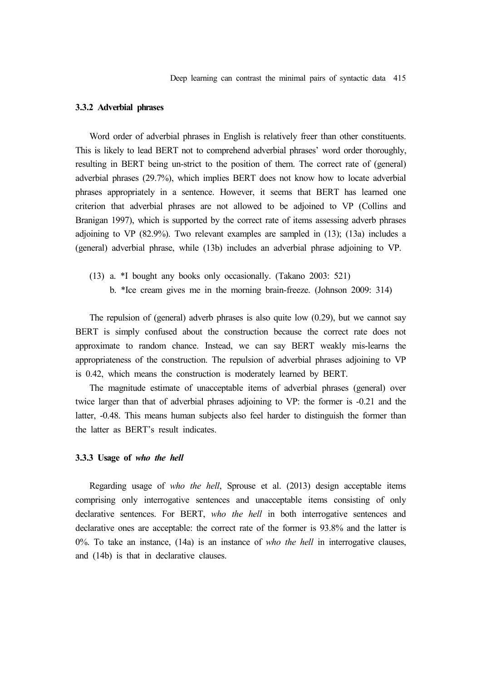#### **3.3.2 Adverbial phrases**

Word order of adverbial phrases in English is relatively freer than other constituents. This is likely to lead BERT not to comprehend adverbial phrases' word order thoroughly, resulting in BERT being un-strict to the position of them. The correct rate of (general) adverbial phrases (29.7%), which implies BERT does not know how to locate adverbial phrases appropriately in a sentence. However, it seems that BERT has learned one criterion that adverbial phrases are not allowed to be adjoined to VP (Collins and Branigan 1997), which is supported by the correct rate of items assessing adverb phrases adjoining to VP (82.9%). Two relevant examples are sampled in (13); (13a) includes a (general) adverbial phrase, while (13b) includes an adverbial phrase adjoining to VP.

- (13) a. \*I bought any books only occasionally. (Takano 2003: 521)
	- b. \*Ice cream gives me in the morning brain-freeze. (Johnson 2009: 314)

The repulsion of (general) adverb phrases is also quite low (0.29), but we cannot say BERT is simply confused about the construction because the correct rate does not approximate to random chance. Instead, we can say BERT weakly mis-learns the appropriateness of the construction. The repulsion of adverbial phrases adjoining to VP is 0.42, which means the construction is moderately learned by BERT.

The magnitude estimate of unacceptable items of adverbial phrases (general) over twice larger than that of adverbial phrases adjoining to VP: the former is -0.21 and the latter, -0.48. This means human subjects also feel harder to distinguish the former than the latter as BERT's result indicates.

#### **3.3.3 Usage of** *who the hell*

Regarding usage of *who the hell*, Sprouse et al. (2013) design acceptable items comprising only interrogative sentences and unacceptable items consisting of only declarative sentences. For BERT, *who the hell* in both interrogative sentences and declarative ones are acceptable: the correct rate of the former is 93.8% and the latter is 0%. To take an instance, (14a) is an instance of *who the hell* in interrogative clauses, and (14b) is that in declarative clauses.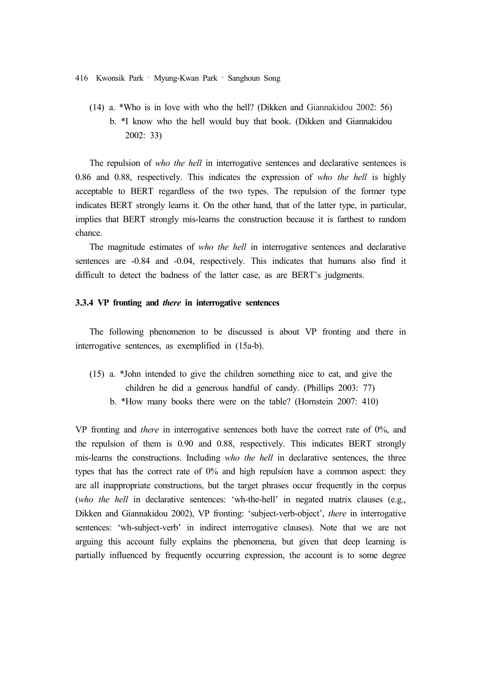(14) a. \*Who is in love with who the hell? (Dikken and Giannakidou 2002: 56) b. \*I know who the hell would buy that book. (Dikken and Giannakidou 2002: 33)

The repulsion of *who the hell* in interrogative sentences and declarative sentences is 0.86 and 0.88, respectively. This indicates the expression of *who the hell* is highly acceptable to BERT regardless of the two types. The repulsion of the former type indicates BERT strongly learns it. On the other hand, that of the latter type, in particular, implies that BERT strongly mis-learns the construction because it is farthest to random chance.

The magnitude estimates of *who the hell* in interrogative sentences and declarative sentences are -0.84 and -0.04, respectively. This indicates that humans also find it difficult to detect the badness of the latter case, as are BERT's judgments.

## **3.3.4 VP fronting and** *there* **in interrogative sentences**

The following phenomenon to be discussed is about VP fronting and there in interrogative sentences, as exemplified in (15a-b).

(15) a. \*John intended to give the children something nice to eat, and give the children he did a generous handful of candy. (Phillips 2003: 77) b. \*How many books there were on the table? (Hornstein 2007: 410)

VP fronting and *there* in interrogative sentences both have the correct rate of 0%, and the repulsion of them is 0.90 and 0.88, respectively. This indicates BERT strongly mis-learns the constructions. Including *who the hell* in declarative sentences, the three types that has the correct rate of 0% and high repulsion have a common aspect: they are all inappropriate constructions, but the target phrases occur frequently in the corpus (*who the hell* in declarative sentences: 'wh-the-hell' in negated matrix clauses (e.g., Dikken and Giannakidou 2002), VP fronting: 'subject-verb-object', *there* in interrogative sentences: 'wh-subject-verb' in indirect interrogative clauses). Note that we are not arguing this account fully explains the phenomena, but given that deep learning is partially influenced by frequently occurring expression, the account is to some degree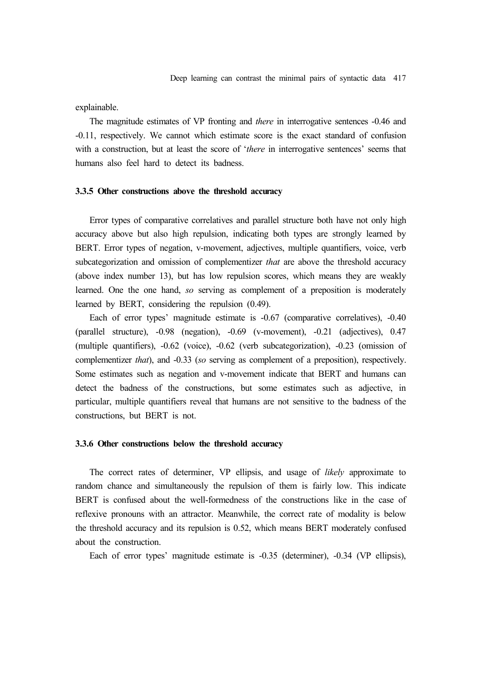explainable.

The magnitude estimates of VP fronting and *there* in interrogative sentences -0.46 and -0.11, respectively. We cannot which estimate score is the exact standard of confusion with a construction, but at least the score of '*there* in interrogative sentences' seems that humans also feel hard to detect its badness.

## **3.3.5 Other constructions above the threshold accuracy**

Error types of comparative correlatives and parallel structure both have not only high accuracy above but also high repulsion, indicating both types are strongly learned by BERT. Error types of negation, v-movement, adjectives, multiple quantifiers, voice, verb subcategorization and omission of complementizer *that* are above the threshold accuracy (above index number 13), but has low repulsion scores, which means they are weakly learned. One the one hand, *so* serving as complement of a preposition is moderately learned by BERT, considering the repulsion (0.49).

Each of error types' magnitude estimate is -0.67 (comparative correlatives), -0.40 (parallel structure), -0.98 (negation), -0.69 (v-movement), -0.21 (adjectives), 0.47 (multiple quantifiers), -0.62 (voice), -0.62 (verb subcategorization), -0.23 (omission of complementizer *that*), and -0.33 (*so* serving as complement of a preposition), respectively. Some estimates such as negation and v-movement indicate that BERT and humans can detect the badness of the constructions, but some estimates such as adjective, in particular, multiple quantifiers reveal that humans are not sensitive to the badness of the constructions, but BERT is not.

## **3.3.6 Other constructions below the threshold accuracy**

The correct rates of determiner, VP ellipsis, and usage of *likely* approximate to random chance and simultaneously the repulsion of them is fairly low. This indicate BERT is confused about the well-formedness of the constructions like in the case of reflexive pronouns with an attractor. Meanwhile, the correct rate of modality is below the threshold accuracy and its repulsion is 0.52, which means BERT moderately confused about the construction.

Each of error types' magnitude estimate is -0.35 (determiner), -0.34 (VP ellipsis),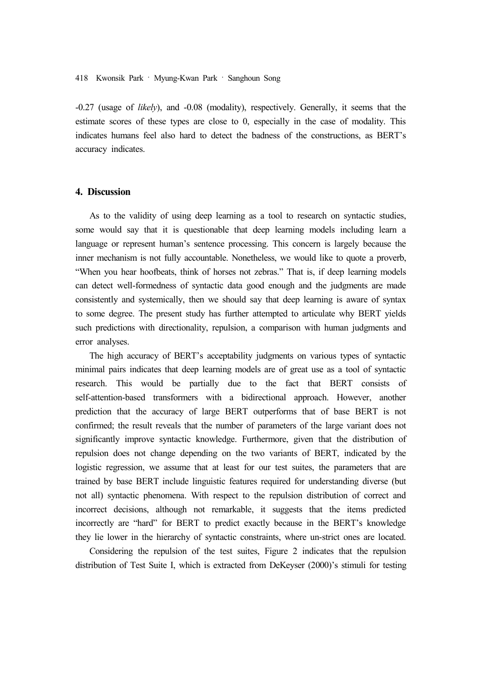-0.27 (usage of *likely*), and -0.08 (modality), respectively. Generally, it seems that the estimate scores of these types are close to 0, especially in the case of modality. This indicates humans feel also hard to detect the badness of the constructions, as BERT's accuracy indicates.

# **4. Discussion**

As to the validity of using deep learning as a tool to research on syntactic studies, some would say that it is questionable that deep learning models including learn a language or represent human's sentence processing. This concern is largely because the inner mechanism is not fully accountable. Nonetheless, we would like to quote a proverb, "When you hear hoofbeats, think of horses not zebras." That is, if deep learning models can detect well-formedness of syntactic data good enough and the judgments are made consistently and systemically, then we should say that deep learning is aware of syntax to some degree. The present study has further attempted to articulate why BERT yields such predictions with directionality, repulsion, a comparison with human judgments and error analyses.

The high accuracy of BERT's acceptability judgments on various types of syntactic minimal pairs indicates that deep learning models are of great use as a tool of syntactic research. This would be partially due to the fact that BERT consists of self-attention-based transformers with a bidirectional approach. However, another prediction that the accuracy of large BERT outperforms that of base BERT is not confirmed; the result reveals that the number of parameters of the large variant does not significantly improve syntactic knowledge. Furthermore, given that the distribution of repulsion does not change depending on the two variants of BERT, indicated by the logistic regression, we assume that at least for our test suites, the parameters that are trained by base BERT include linguistic features required for understanding diverse (but not all) syntactic phenomena. With respect to the repulsion distribution of correct and incorrect decisions, although not remarkable, it suggests that the items predicted incorrectly are "hard" for BERT to predict exactly because in the BERT's knowledge they lie lower in the hierarchy of syntactic constraints, where un-strict ones are located.

Considering the repulsion of the test suites, Figure 2 indicates that the repulsion distribution of Test Suite I, which is extracted from DeKeyser (2000)'s stimuli for testing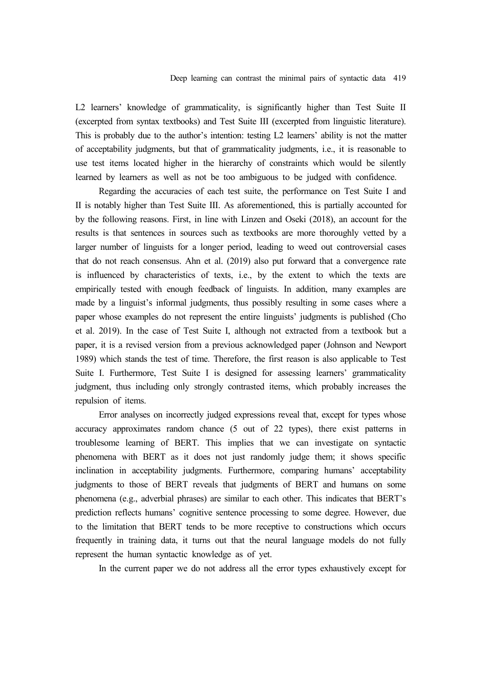L2 learners' knowledge of grammaticality, is significantly higher than Test Suite II (excerpted from syntax textbooks) and Test Suite III (excerpted from linguistic literature). This is probably due to the author's intention: testing L2 learners' ability is not the matter of acceptability judgments, but that of grammaticality judgments, i.e., it is reasonable to use test items located higher in the hierarchy of constraints which would be silently learned by learners as well as not be too ambiguous to be judged with confidence.

Regarding the accuracies of each test suite, the performance on Test Suite I and II is notably higher than Test Suite III. As aforementioned, this is partially accounted for by the following reasons. First, in line with Linzen and Oseki (2018), an account for the results is that sentences in sources such as textbooks are more thoroughly vetted by a larger number of linguists for a longer period, leading to weed out controversial cases that do not reach consensus. Ahn et al. (2019) also put forward that a convergence rate is influenced by characteristics of texts, i.e., by the extent to which the texts are empirically tested with enough feedback of linguists. In addition, many examples are made by a linguist's informal judgments, thus possibly resulting in some cases where a paper whose examples do not represent the entire linguists' judgments is published (Cho et al. 2019). In the case of Test Suite I, although not extracted from a textbook but a paper, it is a revised version from a previous acknowledged paper (Johnson and Newport 1989) which stands the test of time. Therefore, the first reason is also applicable to Test Suite I. Furthermore, Test Suite I is designed for assessing learners' grammaticality judgment, thus including only strongly contrasted items, which probably increases the repulsion of items.

Error analyses on incorrectly judged expressions reveal that, except for types whose accuracy approximates random chance (5 out of 22 types), there exist patterns in troublesome learning of BERT. This implies that we can investigate on syntactic phenomena with BERT as it does not just randomly judge them; it shows specific inclination in acceptability judgments. Furthermore, comparing humans' acceptability judgments to those of BERT reveals that judgments of BERT and humans on some phenomena (e.g., adverbial phrases) are similar to each other. This indicates that BERT's prediction reflects humans' cognitive sentence processing to some degree. However, due to the limitation that BERT tends to be more receptive to constructions which occurs frequently in training data, it turns out that the neural language models do not fully represent the human syntactic knowledge as of yet.

In the current paper we do not address all the error types exhaustively except for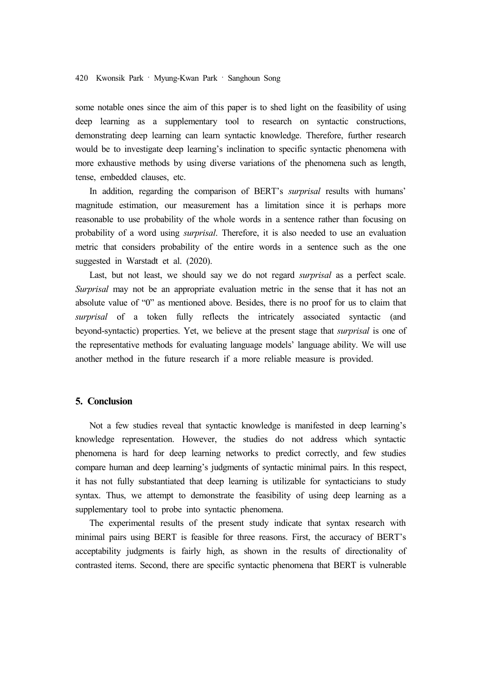some notable ones since the aim of this paper is to shed light on the feasibility of using deep learning as a supplementary tool to research on syntactic constructions, demonstrating deep learning can learn syntactic knowledge. Therefore, further research would be to investigate deep learning's inclination to specific syntactic phenomena with more exhaustive methods by using diverse variations of the phenomena such as length, tense, embedded clauses, etc.

In addition, regarding the comparison of BERT's *surprisal* results with humans' magnitude estimation, our measurement has a limitation since it is perhaps more reasonable to use probability of the whole words in a sentence rather than focusing on probability of a word using *surprisal*. Therefore, it is also needed to use an evaluation metric that considers probability of the entire words in a sentence such as the one suggested in Warstadt et al. (2020).

Last, but not least, we should say we do not regard *surprisal* as a perfect scale. *Surprisal* may not be an appropriate evaluation metric in the sense that it has not an absolute value of "0" as mentioned above. Besides, there is no proof for us to claim that *surprisal* of a token fully reflects the intricately associated syntactic (and beyond-syntactic) properties. Yet, we believe at the present stage that *surprisal* is one of the representative methods for evaluating language models' language ability. We will use another method in the future research if a more reliable measure is provided.

## **5. Conclusion**

Not a few studies reveal that syntactic knowledge is manifested in deep learning's knowledge representation. However, the studies do not address which syntactic phenomena is hard for deep learning networks to predict correctly, and few studies compare human and deep learning's judgments of syntactic minimal pairs. In this respect, it has not fully substantiated that deep learning is utilizable for syntacticians to study syntax. Thus, we attempt to demonstrate the feasibility of using deep learning as a supplementary tool to probe into syntactic phenomena.

The experimental results of the present study indicate that syntax research with minimal pairs using BERT is feasible for three reasons. First, the accuracy of BERT's acceptability judgments is fairly high, as shown in the results of directionality of contrasted items. Second, there are specific syntactic phenomena that BERT is vulnerable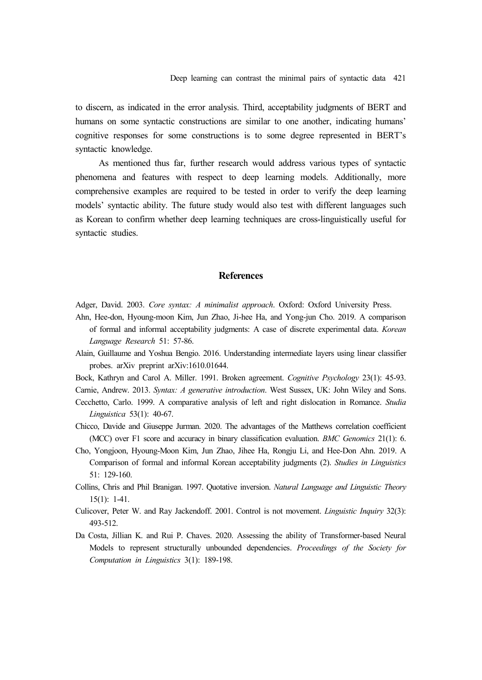to discern, as indicated in the error analysis. Third, acceptability judgments of BERT and humans on some syntactic constructions are similar to one another, indicating humans' cognitive responses for some constructions is to some degree represented in BERT's syntactic knowledge.

As mentioned thus far, further research would address various types of syntactic phenomena and features with respect to deep learning models. Additionally, more comprehensive examples are required to be tested in order to verify the deep learning models' syntactic ability. The future study would also test with different languages such as Korean to confirm whether deep learning techniques are cross-linguistically useful for syntactic studies.

# **References**

Adger, David. 2003. *Core syntax: A minimalist approach*. Oxford: Oxford University Press.

- Ahn, Hee-don, Hyoung-moon Kim, Jun Zhao, Ji-hee Ha, and Yong-jun Cho. 2019. A comparison of formal and informal acceptability judgments: A case of discrete experimental data. *Korean Language Research* 51: 57-86.
- Alain, Guillaume and Yoshua Bengio. 2016. Understanding intermediate layers using linear classifier probes. arXiv preprint arXiv:1610.01644.

Bock, Kathryn and Carol A. Miller. 1991. Broken agreement. *Cognitive Psychology* 23(1): 45-93. Carnie, Andrew. 2013. *Syntax: A generative introduction*. West Sussex, UK: John Wiley and Sons.

- Cecchetto, Carlo. 1999. A comparative analysis of left and right dislocation in Romance. *Studia Linguistica* 53(1): 40-67.
- Chicco, Davide and Giuseppe Jurman. 2020. The advantages of the Matthews correlation coefficient (MCC) over F1 score and accuracy in binary classification evaluation. *BMC Genomics* 21(1): 6.
- Cho, Yongjoon, Hyoung-Moon Kim, Jun Zhao, Jihee Ha, Rongju Li, and Hee-Don Ahn. 2019. A Comparison of formal and informal Korean acceptability judgments (2). *Studies in Linguistics* 51: 129-160.
- Collins, Chris and Phil Branigan. 1997. Quotative inversion. *Natural Language and Linguistic Theory* 15(1): 1-41.
- Culicover, Peter W. and Ray Jackendoff. 2001. Control is not movement. *Linguistic Inquiry* 32(3): 493-512.
- Da Costa, Jillian K. and Rui P. Chaves. 2020. Assessing the ability of Transformer-based Neural Models to represent structurally unbounded dependencies. *Proceedings of the Society for Computation in Linguistics* 3(1): 189-198.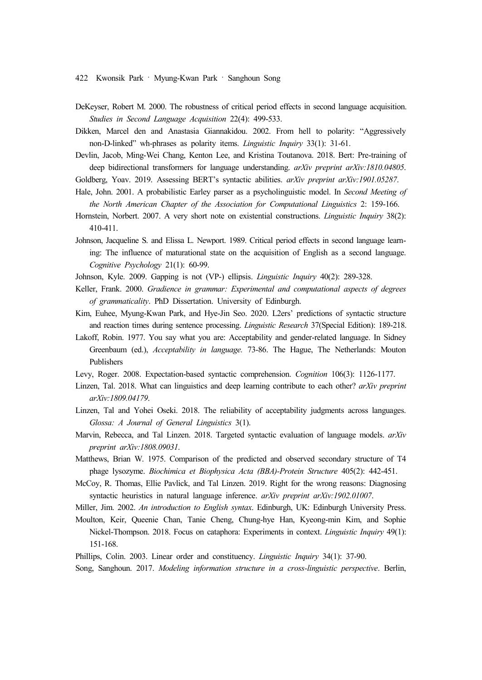- DeKeyser, Robert M. 2000. The robustness of critical period effects in second language acquisition. *Studies in Second Language Acquisition* 22(4): 499-533.
- Dikken, Marcel den and Anastasia Giannakidou. 2002. From hell to polarity: "Aggressively non-D-linked" wh-phrases as polarity items. *Linguistic Inquiry* 33(1): 31-61.
- Devlin, Jacob, Ming-Wei Chang, Kenton Lee, and Kristina Toutanova. 2018. Bert: Pre-training of deep bidirectional transformers for language understanding. *arXiv preprint arXiv:1810.04805*.
- Goldberg, Yoav. 2019. Assessing BERT's syntactic abilities. *arXiv preprint arXiv:1901.05287*.
- Hale, John. 2001. A probabilistic Earley parser as a psycholinguistic model. In *Second Meeting of the North American Chapter of the Association for Computational Linguistics* 2: 159-166.
- Hornstein, Norbert. 2007. A very short note on existential constructions. *Linguistic Inquiry* 38(2): 410-411.
- Johnson, Jacqueline S. and Elissa L. Newport. 1989. Critical period effects in second language learning: The influence of maturational state on the acquisition of English as a second language. *Cognitive Psychology* 21(1): 60-99.
- Johnson, Kyle. 2009. Gapping is not (VP-) ellipsis. *Linguistic Inquiry* 40(2): 289-328.
- Keller, Frank. 2000. *Gradience in grammar: Experimental and computational aspects of degrees of grammaticality*. PhD Dissertation. University of Edinburgh.
- Kim, Euhee, Myung-Kwan Park, and Hye-Jin Seo. 2020. L2ers' predictions of syntactic structure and reaction times during sentence processing. *Linguistic Research* 37(Special Edition): 189-218.
- Lakoff, Robin. 1977. You say what you are: Acceptability and gender-related language. In Sidney Greenbaum (ed.), *Acceptability in language.* 73-86. The Hague, The Netherlands: Mouton Publishers
- Levy, Roger. 2008. Expectation-based syntactic comprehension. *Cognition* 106(3): 1126-1177.
- Linzen, Tal. 2018. What can linguistics and deep learning contribute to each other? *arXiv preprint arXiv:1809.04179*.
- Linzen, Tal and Yohei Oseki. 2018. The reliability of acceptability judgments across languages. *Glossa: A Journal of General Linguistics* 3(1).
- Marvin, Rebecca, and Tal Linzen. 2018. Targeted syntactic evaluation of language models. *arXiv preprint arXiv:1808.09031*.
- Matthews, Brian W. 1975. Comparison of the predicted and observed secondary structure of T4 phage lysozyme. *Biochimica et Biophysica Acta (BBA)-Protein Structure* 405(2): 442-451.
- McCoy, R. Thomas, Ellie Pavlick, and Tal Linzen. 2019. Right for the wrong reasons: Diagnosing syntactic heuristics in natural language inference. *arXiv preprint arXiv:1902.01007*.
- Miller, Jim. 2002. *An introduction to English syntax*. Edinburgh, UK: Edinburgh University Press.
- Moulton, Keir, Queenie Chan, Tanie Cheng, Chung-hye Han, Kyeong-min Kim, and Sophie Nickel-Thompson. 2018. Focus on cataphora: Experiments in context. *Linguistic Inquiry* 49(1): 151-168.
- Phillips, Colin. 2003. Linear order and constituency. *Linguistic Inquiry* 34(1): 37-90.
- Song, Sanghoun. 2017. *Modeling information structure in a cross-linguistic perspective*. Berlin,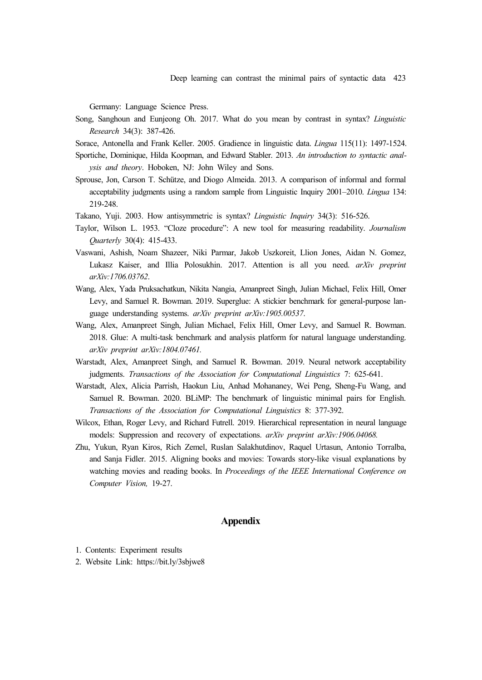Germany: Language Science Press.

Song, Sanghoun and Eunjeong Oh. 2017. What do you mean by contrast in syntax? *Linguistic Research* 34(3): 387-426.

Sorace, Antonella and Frank Keller. 2005. Gradience in linguistic data. *Lingua* 115(11): 1497-1524.

- Sportiche, Dominique, Hilda Koopman, and Edward Stabler. 2013. *An introduction to syntactic anal ysis and theory*. Hoboken, NJ: John Wiley and Sons.
- Sprouse, Jon, Carson T. Schütze, and Diogo Almeida. 2013. A comparison of informal and formal acceptability judgments using a random sample from Linguistic Inquiry 2001–2010. *Lingua* 134: 219-248.
- Takano, Yuji. 2003. How antisymmetric is syntax? *Linguistic Inquiry* 34(3): 516-526.
- Taylor, Wilson L. 1953. "Cloze procedure": A new tool for measuring readability. *Journalism Quarterly* 30(4): 415-433.
- Vaswani, Ashish, Noam Shazeer, Niki Parmar, Jakob Uszkoreit, Llion Jones, Aidan N. Gomez, Lukasz Kaiser, and Illia Polosukhin. 2017. Attention is all you need. *arXiv preprint arXiv:1706.03762*.
- Wang, Alex, Yada Pruksachatkun, Nikita Nangia, Amanpreet Singh, Julian Michael, Felix Hill, Omer Levy, and Samuel R. Bowman. 2019. Superglue: A stickier benchmark for general-purpose lan guage understanding systems. *arXiv preprint arXiv:1905.00537*.
- Wang, Alex, Amanpreet Singh, Julian Michael, Felix Hill, Omer Levy, and Samuel R. Bowman. 2018. Glue: A multi-task benchmark and analysis platform for natural language understanding. *arXiv preprint arXiv:1804.07461.*
- Warstadt, Alex, Amanpreet Singh, and Samuel R. Bowman. 2019. Neural network acceptability judgments. *Transactions of the Association for Computational Linguistics* 7: 625-641.
- Warstadt, Alex, Alicia Parrish, Haokun Liu, Anhad Mohananey, Wei Peng, Sheng-Fu Wang, and Samuel R. Bowman. 2020. BLiMP: The benchmark of linguistic minimal pairs for English. *Transactions of the Association for Computational Linguistics* 8: 377-392.
- Wilcox, Ethan, Roger Levy, and Richard Futrell. 2019. Hierarchical representation in neural language models: Suppression and recovery of expectations. *arXiv preprint arXiv:1906.04068.*
- Zhu, Yukun, Ryan Kiros, Rich Zemel, Ruslan Salakhutdinov, Raquel Urtasun, Antonio Torralba, and Sanja Fidler. 2015. Aligning books and movies: Towards story-like visual explanations by watching movies and reading books. In *Proceedings of the IEEE International Conference on Computer Vision,* 19-27.

# **Appendix**

- 1. Contents: Experiment results
- 2. Website Link: https://bit.ly/3sbjwe8